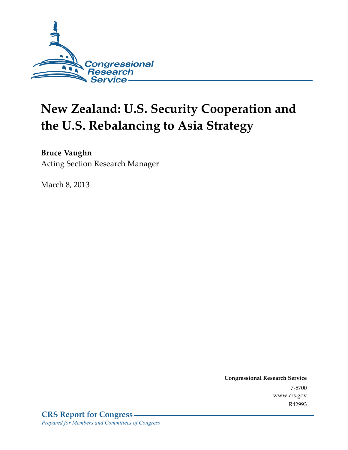

# **New Zealand: U.S. Security Cooperation and the U.S. Rebalancing to Asia Strategy**

#### **Bruce Vaughn**

Acting Section Research Manager

March 8, 2013

**Congressional Research Service**  7-5700 www.crs.gov R42993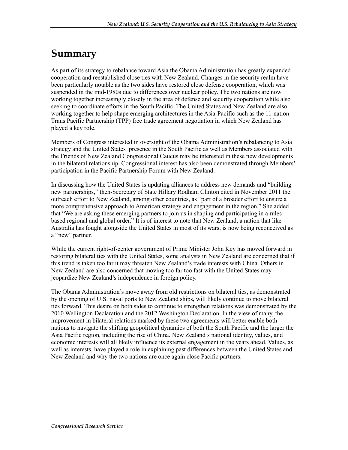### **Summary**

As part of its strategy to rebalance toward Asia the Obama Administration has greatly expanded cooperation and reestablished close ties with New Zealand. Changes in the security realm have been particularly notable as the two sides have restored close defense cooperation, which was suspended in the mid-1980s due to differences over nuclear policy. The two nations are now working together increasingly closely in the area of defense and security cooperation while also seeking to coordinate efforts in the South Pacific. The United States and New Zealand are also working together to help shape emerging architectures in the Asia-Pacific such as the 11-nation Trans Pacific Partnership (TPP) free trade agreement negotiation in which New Zealand has played a key role.

Members of Congress interested in oversight of the Obama Administration's rebalancing to Asia strategy and the United States' presence in the South Pacific as well as Members associated with the Friends of New Zealand Congressional Caucus may be interested in these new developments in the bilateral relationship. Congressional interest has also been demonstrated through Members' participation in the Pacific Partnership Forum with New Zealand.

In discussing how the United States is updating alliances to address new demands and "building new partnerships," then-Secretary of State Hillary Rodham Clinton cited in November 2011 the outreach effort to New Zealand, among other countries, as "part of a broader effort to ensure a more comprehensive approach to American strategy and engagement in the region." She added that "We are asking these emerging partners to join us in shaping and participating in a rulesbased regional and global order." It is of interest to note that New Zealand, a nation that like Australia has fought alongside the United States in most of its wars, is now being reconceived as a "new" partner.

While the current right-of-center government of Prime Minister John Key has moved forward in restoring bilateral ties with the United States, some analysts in New Zealand are concerned that if this trend is taken too far it may threaten New Zealand's trade interests with China. Others in New Zealand are also concerned that moving too far too fast with the United States may jeopardize New Zealand's independence in foreign policy.

The Obama Administration's move away from old restrictions on bilateral ties, as demonstrated by the opening of U.S. naval ports to New Zealand ships, will likely continue to move bilateral ties forward. This desire on both sides to continue to strengthen relations was demonstrated by the 2010 Wellington Declaration and the 2012 Washington Declaration. In the view of many, the improvement in bilateral relations marked by these two agreements will better enable both nations to navigate the shifting geopolitical dynamics of both the South Pacific and the larger the Asia Pacific region, including the rise of China. New Zealand's national identity, values, and economic interests will all likely influence its external engagement in the years ahead. Values, as well as interests, have played a role in explaining past differences between the United States and New Zealand and why the two nations are once again close Pacific partners.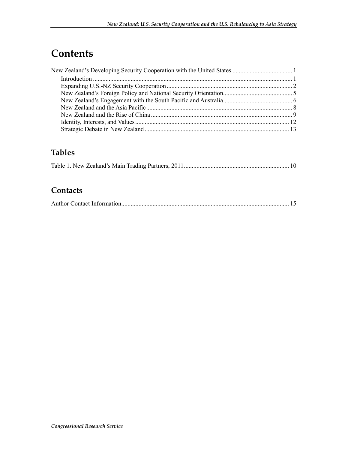### **Contents**

### **Tables**

|--|--|

#### **Contacts**

|--|--|--|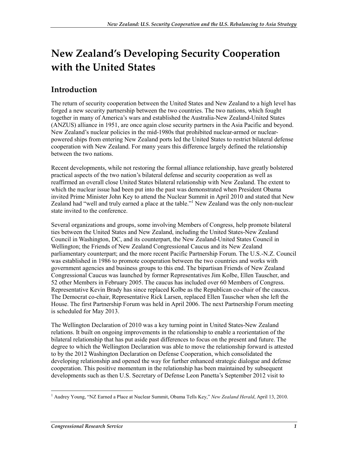## **New Zealand's Developing Security Cooperation with the United States**

### **Introduction**

The return of security cooperation between the United States and New Zealand to a high level has forged a new security partnership between the two countries. The two nations, which fought together in many of America's wars and established the Australia-New Zealand-United States (ANZUS) alliance in 1951, are once again close security partners in the Asia Pacific and beyond. New Zealand's nuclear policies in the mid-1980s that prohibited nuclear-armed or nuclearpowered ships from entering New Zealand ports led the United States to restrict bilateral defense cooperation with New Zealand. For many years this difference largely defined the relationship between the two nations.

Recent developments, while not restoring the formal alliance relationship, have greatly bolstered practical aspects of the two nation's bilateral defense and security cooperation as well as reaffirmed an overall close United States bilateral relationship with New Zealand. The extent to which the nuclear issue had been put into the past was demonstrated when President Obama invited Prime Minister John Key to attend the Nuclear Summit in April 2010 and stated that New Zealand had "well and truly earned a place at the table."<sup>1</sup> New Zealand was the only non-nuclear state invited to the conference.

Several organizations and groups, some involving Members of Congress, help promote bilateral ties between the United States and New Zealand, including the United States-New Zealand Council in Washington, DC, and its counterpart, the New Zealand-United States Council in Wellington; the Friends of New Zealand Congressional Caucus and its New Zealand parliamentary counterpart; and the more recent Pacific Partnership Forum. The U.S.-N.Z. Council was established in 1986 to promote cooperation between the two countries and works with government agencies and business groups to this end. The bipartisan Friends of New Zealand Congressional Caucus was launched by former Representatives Jim Kolbe, Ellen Tauscher, and 52 other Members in February 2005. The caucus has included over 60 Members of Congress. Representative Kevin Brady has since replaced Kolbe as the Republican co-chair of the caucus. The Democrat co-chair, Representative Rick Larsen, replaced Ellen Tauscher when she left the House. The first Partnership Forum was held in April 2006. The next Partnership Forum meeting is scheduled for May 2013.

The Wellington Declaration of 2010 was a key turning point in United States-New Zealand relations. It built on ongoing improvements in the relationship to enable a reorientation of the bilateral relationship that has put aside past differences to focus on the present and future. The degree to which the Wellington Declaration was able to move the relationship forward is attested to by the 2012 Washington Declaration on Defense Cooperation, which consolidated the developing relationship and opened the way for further enhanced strategic dialogue and defense cooperation. This positive momentum in the relationship has been maintained by subsequent developments such as then U.S. Secretary of Defense Leon Panetta's September 2012 visit to

 1 Audrey Young, "NZ Earned a Place at Nuclear Summit, Obama Tells Key," *New Zealand Herald*, April 13, 2010.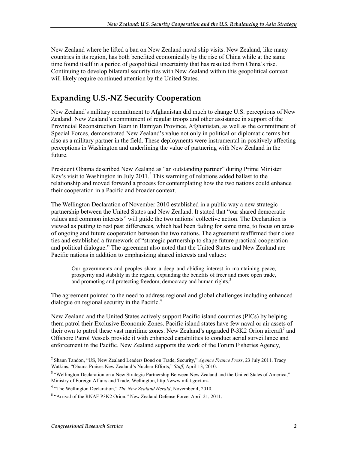New Zealand where he lifted a ban on New Zealand naval ship visits. New Zealand, like many countries in its region, has both benefited economically by the rise of China while at the same time found itself in a period of geopolitical uncertainty that has resulted from China's rise. Continuing to develop bilateral security ties with New Zealand within this geopolitical context will likely require continued attention by the United States.

#### **Expanding U.S.-NZ Security Cooperation**

New Zealand's military commitment to Afghanistan did much to change U.S. perceptions of New Zealand. New Zealand's commitment of regular troops and other assistance in support of the Provincial Reconstruction Team in Bamiyan Province, Afghanistan, as well as the commitment of Special Forces, demonstrated New Zealand's value not only in political or diplomatic terms but also as a military partner in the field. These deployments were instrumental in positively affecting perceptions in Washington and underlining the value of partnering with New Zealand in the future.

President Obama described New Zealand as "an outstanding partner" during Prime Minister Key's visit to Washington in July 2011.<sup>2</sup> This warming of relations added ballast to the relationship and moved forward a process for contemplating how the two nations could enhance their cooperation in a Pacific and broader context.

The Wellington Declaration of November 2010 established in a public way a new strategic partnership between the United States and New Zealand. It stated that "our shared democratic values and common interests" will guide the two nations' collective action. The Declaration is viewed as putting to rest past differences, which had been fading for some time, to focus on areas of ongoing and future cooperation between the two nations. The agreement reaffirmed their close ties and established a framework of "strategic partnership to shape future practical cooperation and political dialogue." The agreement also noted that the United States and New Zealand are Pacific nations in addition to emphasizing shared interests and values:

Our governments and peoples share a deep and abiding interest in maintaining peace, prosperity and stability in the region, expanding the benefits of freer and more open trade, and promoting and protecting freedom, democracy and human rights.<sup>3</sup>

The agreement pointed to the need to address regional and global challenges including enhanced dialogue on regional security in the Pacific.4

New Zealand and the United States actively support Pacific island countries (PICs) by helping them patrol their Exclusive Economic Zones. Pacific island states have few naval or air assets of their own to patrol these vast maritime zones. New Zealand's upgraded P-3K2 Orion aircraft<sup>5</sup> and Offshore Patrol Vessels provide it with enhanced capabilities to conduct aerial surveillance and enforcement in the Pacific. New Zealand supports the work of the Forum Fisheries Agency,

<sup>2</sup> Shaun Tandon, "US, New Zealand Leaders Bond on Trade, Security," *Agence France Press*, 23 July 2011. Tracy Watkins, "Obama Praises New Zealand's Nuclear Efforts," *Stuff,* April 13, 2010.

<sup>&</sup>lt;sup>3</sup> "Wellington Declaration on a New Strategic Partnership Between New Zealand and the United States of America," Ministry of Foreign Affairs and Trade, Wellington, http://www.mfat.govt.nz.

<sup>&</sup>lt;sup>4</sup> "The Wellington Declaration," *The New Zealand Herald*, November 4, 2010.

<sup>&</sup>lt;sup>5</sup> "Arrival of the RNAF P3K2 Orion," New Zealand Defense Force, April 21, 2011.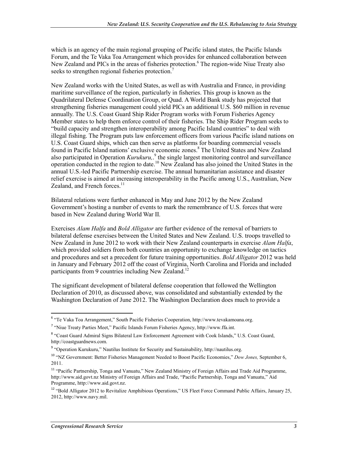which is an agency of the main regional grouping of Pacific island states, the Pacific Islands Forum, and the Te Vaka Toa Arrangement which provides for enhanced collaboration between New Zealand and PICs in the areas of fisheries protection.<sup>6</sup> The region-wide Niue Treaty also seeks to strengthen regional fisheries protection.<sup>7</sup>

New Zealand works with the United States, as well as with Australia and France, in providing maritime surveillance of the region, particularly in fisheries. This group is known as the Quadrilateral Defense Coordination Group, or Quad. A World Bank study has projected that strengthening fisheries management could yield PICs an additional U.S. \$60 million in revenue annually. The U.S. Coast Guard Ship Rider Program works with Forum Fisheries Agency Member states to help them enforce control of their fisheries. The Ship Rider Program seeks to "build capacity and strengthen interoperability among Pacific Island countries" to deal with illegal fishing. The Program puts law enforcement officers from various Pacific island nations on U.S. Coast Guard ships, which can then serve as platforms for boarding commercial vessels found in Pacific Island nations' exclusive economic zones.<sup>8</sup> The United States and New Zealand also participated in Operation *Kurukuru*,<sup>9</sup> the single largest monitoring control and surveillance operation conducted in the region to date.10 New Zealand has also joined the United States in the annual U.S.-led Pacific Partnership exercise. The annual humanitarian assistance and disaster relief exercise is aimed at increasing interoperability in the Pacific among U.S., Australian, New Zealand, and French forces. $^{11}$ 

Bilateral relations were further enhanced in May and June 2012 by the New Zealand Government's hosting a number of events to mark the remembrance of U.S. forces that were based in New Zealand during World War II.

Exercises *Alam Halfa* and *Bold Alligator* are further evidence of the removal of barriers to bilateral defense exercises between the United States and New Zealand. U.S. troops travelled to New Zealand in June 2012 to work with their New Zealand counterparts in exercise *Alam Halfa*, which provided soldiers from both countries an opportunity to exchange knowledge on tactics and procedures and set a precedent for future training opportunities. *Bold Alligator* 2012 was held in January and February 2012 off the coast of Virginia, North Carolina and Florida and included participants from 9 countries including New Zealand.<sup>12</sup>

The significant development of bilateral defense cooperation that followed the Wellington Declaration of 2010, as discussed above, was consolidated and substantially extended by the Washington Declaration of June 2012. The Washington Declaration does much to provide a

<sup>&</sup>lt;u>- Te Vaka Toa Arrangement," South Pacific Fisheries Cooperation, http://www.tevakamoana.org.</u>

<sup>&</sup>lt;sup>7</sup> "Niue Treaty Parties Meet," Pacific Islands Forum Fisheries Agency, http://www.ffa.int.

<sup>&</sup>lt;sup>8</sup> "Coast Guard Admiral Signs Bilateral Law Enforcement Agreement with Cook Islands," U.S. Coast Guard, http://coastguardnews.com.

<sup>&</sup>lt;sup>9</sup> "Operation Kurukuru," Nautilus Institute for Security and Sustainability, http://nautilus.org.

<sup>10</sup> "NZ Government: Better Fisheries Management Needed to Boost Pacific Economies," *Dow Jones,* September 6, 2011.

<sup>&</sup>lt;sup>11</sup> "Pacific Partnership, Tonga and Vanuatu," New Zealand Ministry of Foreign Affairs and Trade Aid Programme, http://www.aid.govt.nz Ministry of Foreign Affairs and Trade, "Pacific Partnership, Tonga and Vanuatu," Aid Programme, http://www.aid.govt.nz.

<sup>&</sup>lt;sup>12</sup> "Bold Alligator 2012 to Revitalize Amphibious Operations," US Fleet Force Command Public Affairs, January 25, 2012, http://www.navy.mil.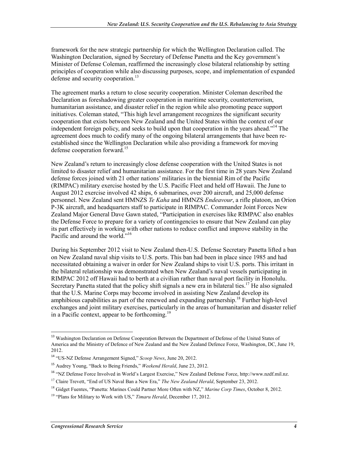framework for the new strategic partnership for which the Wellington Declaration called. The Washington Declaration, signed by Secretary of Defense Panetta and the Key government's Minister of Defense Coleman, reaffirmed the increasingly close bilateral relationship by setting principles of cooperation while also discussing purposes, scope, and implementation of expanded defense and security cooperation.<sup>13</sup>

The agreement marks a return to close security cooperation. Minister Coleman described the Declaration as foreshadowing greater cooperation in maritime security, counterterrorism, humanitarian assistance, and disaster relief in the region while also promoting peace support initiatives. Coleman stated, "This high level arrangement recognizes the significant security cooperation that exists between New Zealand and the United States within the context of our independent foreign policy, and seeks to build upon that cooperation in the years ahead."<sup>14</sup> The agreement does much to codify many of the ongoing bilateral arrangements that have been reestablished since the Wellington Declaration while also providing a framework for moving defense cooperation forward.<sup>15</sup>

New Zealand's return to increasingly close defense cooperation with the United States is not limited to disaster relief and humanitarian assistance. For the first time in 28 years New Zealand defense forces joined with 21 other nations' militaries in the biennial Rim of the Pacific (RIMPAC) military exercise hosted by the U.S. Pacific Fleet and held off Hawaii. The June to August 2012 exercise involved 42 ships, 6 submarines, over 200 aircraft, and 25,000 defense personnel. New Zealand sent HMNZS *Te Kaha* and HMNZS *Endeavour*, a rifle platoon, an Orion P-3K aircraft, and headquarters staff to participate in RIMPAC. Commander Joint Forces New Zealand Major General Dave Gawn stated, "Participation in exercises like RIMPAC also enables the Defense Force to prepare for a variety of contingencies to ensure that New Zealand can play its part effectively in working with other nations to reduce conflict and improve stability in the Pacific and around the world."<sup>16</sup>

During his September 2012 visit to New Zealand then-U.S. Defense Secretary Panetta lifted a ban on New Zealand naval ship visits to U.S. ports. This ban had been in place since 1985 and had necessitated obtaining a waiver in order for New Zealand ships to visit U.S. ports. This irritant in the bilateral relationship was demonstrated when New Zealand's naval vessels participating in RIMPAC 2012 off Hawaii had to berth at a civilian rather than naval port facility in Honolulu. Secretary Panetta stated that the policy shift signals a new era in bilateral ties.<sup>17</sup> He also signaled that the U.S. Marine Corps may become involved in assisting New Zealand develop its amphibious capabilities as part of the renewed and expanding partnership.<sup>18</sup> Further high-level exchanges and joint military exercises, particularly in the areas of humanitarian and disaster relief in a Pacific context, appear to be forthcoming.<sup>19</sup>

<sup>&</sup>lt;sup>13</sup> Washington Declaration on Defense Cooperation Between the Department of Defense of the United States of America and the Ministry of Defence of New Zealand and the New Zealand Defence Force, Washington, DC, June 19, 2012.

<sup>14</sup> "US-NZ Defense Arrangement Signed," *Scoop News*, June 20, 2012.

<sup>15</sup> Audrey Young, "Back to Being Friends," *Weekend Herald*, June 23, 2012.

<sup>16</sup> "NZ Defense Force Involved in World's Largest Exercise," New Zealand Defense Force, http://www.nzdf.mil.nz.

<sup>&</sup>lt;sup>17</sup> Claire Trevett, "End of US Naval Ban a New Era," The New Zealand Herald, September 23, 2012.

<sup>18</sup> Gidget Fuentes, "Panetta: Marines Could Partner More Often with NZ," *Marine Corp Times*, October 8, 2012.

<sup>&</sup>lt;sup>19</sup> "Plans for Military to Work with US," *Timaru Herald*, December 17, 2012.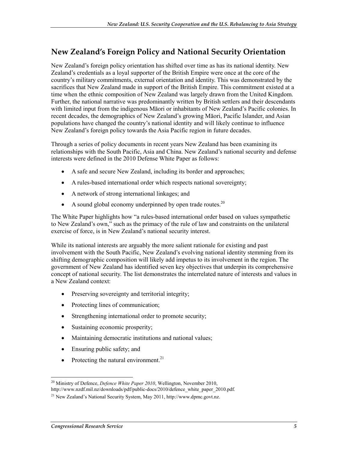#### **New Zealand's Foreign Policy and National Security Orientation**

New Zealand's foreign policy orientation has shifted over time as has its national identity. New Zealand's credentials as a loyal supporter of the British Empire were once at the core of the country's military commitments, external orientation and identity. This was demonstrated by the sacrifices that New Zealand made in support of the British Empire. This commitment existed at a time when the ethnic composition of New Zealand was largely drawn from the United Kingdom. Further, the national narrative was predominantly written by British settlers and their descendants with limited input from the indigenous Māori or inhabitants of New Zealand's Pacific colonies. In recent decades, the demographics of New Zealand's growing Māori, Pacific Islander, and Asian populations have changed the country's national identity and will likely continue to influence New Zealand's foreign policy towards the Asia Pacific region in future decades.

Through a series of policy documents in recent years New Zealand has been examining its relationships with the South Pacific, Asia and China. New Zealand's national security and defense interests were defined in the 2010 Defense White Paper as follows:

- A safe and secure New Zealand, including its border and approaches;
- A rules-based international order which respects national sovereignty;
- A network of strong international linkages; and
- A sound global economy underpinned by open trade routes. $^{20}$

The White Paper highlights how "a rules-based international order based on values sympathetic to New Zealand's own," such as the primacy of the rule of law and constraints on the unilateral exercise of force, is in New Zealand's national security interest.

While its national interests are arguably the more salient rationale for existing and past involvement with the South Pacific, New Zealand's evolving national identity stemming from its shifting demographic composition will likely add impetus to its involvement in the region. The government of New Zealand has identified seven key objectives that underpin its comprehensive concept of national security. The list demonstrates the interrelated nature of interests and values in a New Zealand context:

- Preserving sovereignty and territorial integrity;
- Protecting lines of communication;
- Strengthening international order to promote security;
- Sustaining economic prosperity;
- Maintaining democratic institutions and national values;
- Ensuring public safety; and
- Protecting the natural environment. $^{21}$

<sup>1</sup> 20 Ministry of Defence, *Defence White Paper 2010*, Wellington, November 2010, http://www.nzdf.mil.nz/downloads/pdf/public-docs/2010/defence\_white\_paper\_2010.pdf.

<sup>&</sup>lt;sup>21</sup> New Zealand's National Security System, May 2011, http://www.dpmc.govt.nz.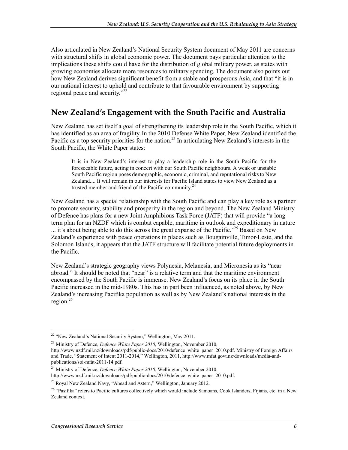Also articulated in New Zealand's National Security System document of May 2011 are concerns with structural shifts in global economic power. The document pays particular attention to the implications these shifts could have for the distribution of global military power, as states with growing economies allocate more resources to military spending. The document also points out how New Zealand derives significant benefit from a stable and prosperous Asia, and that "it is in our national interest to uphold and contribute to that favourable environment by supporting regional peace and security."<sup>22</sup>

#### **New Zealand's Engagement with the South Pacific and Australia**

New Zealand has set itself a goal of strengthening its leadership role in the South Pacific, which it has identified as an area of fragility. In the 2010 Defense White Paper, New Zealand identified the Pacific as a top security priorities for the nation.<sup>23</sup> In articulating New Zealand's interests in the South Pacific, the White Paper states:

It is in New Zealand's interest to play a leadership role in the South Pacific for the foreseeable future, acting in concert with our South Pacific neighbours. A weak or unstable South Pacific region poses demographic, economic, criminal, and reputational risks to New Zealand.... It will remain in our interests for Pacific Island states to view New Zealand as a trusted member and friend of the Pacific community. $^{24}$ 

New Zealand has a special relationship with the South Pacific and can play a key role as a partner to promote security, stability and prosperity in the region and beyond. The New Zealand Ministry of Defence has plans for a new Joint Amphibious Task Force (JATF) that will provide "a long term plan for an NZDF which is combat capable, maritime in outlook and expeditionary in nature  $\ldots$  it's about being able to do this across the great expanse of the Pacific."<sup>25</sup> Based on New Zealand's experience with peace operations in places such as Bougainville, Timor-Leste, and the Solomon Islands, it appears that the JATF structure will facilitate potential future deployments in the Pacific.

New Zealand's strategic geography views Polynesia, Melanesia, and Micronesia as its "near abroad." It should be noted that "near" is a relative term and that the maritime environment encompassed by the South Pacific is immense. New Zealand's focus on its place in the South Pacific increased in the mid-1980s. This has in part been influenced, as noted above, by New Zealand's increasing Pacifika population as well as by New Zealand's national interests in the region. $26$ 

<sup>&</sup>lt;sup>22</sup> "New Zealand's National Security System," Wellington, May 2011.

<sup>23</sup> Ministry of Defence, *Defence White Paper 2010*, Wellington, November 2010,

http://www.nzdf.mil.nz/downloads/pdf/public-docs/2010/defence\_white\_paper\_2010.pdf. Ministry of Foreign Affairs and Trade, "Statement of Intent 2011-2014," Wellington, 2011, http://www.mfat.govt.nz/downloads/media-andpublications/soi-mfat-2011-14.pdf.

<sup>24</sup> Ministry of Defence, *Defence White Paper 2010*, Wellington, November 2010,

http://www.nzdf.mil.nz/downloads/pdf/public-docs/2010/defence\_white\_paper\_2010.pdf.

 $^{25}$  Royal New Zealand Navy, "Ahead and Astern," Wellington, January 2012.

 $^{26}$  "Pasifika" refers to Pacific cultures collectively which would include Samoans, Cook Islanders, Fijians, etc. in a New Zealand context.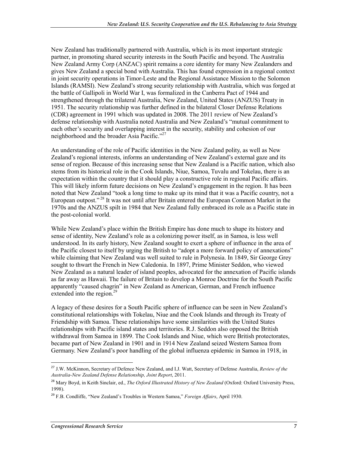New Zealand has traditionally partnered with Australia, which is its most important strategic partner, in promoting shared security interests in the South Pacific and beyond. The Australia New Zealand Army Corp (ANZAC) spirit remains a core identity for many New Zealanders and gives New Zealand a special bond with Australia. This has found expression in a regional context in joint security operations in Timor-Leste and the Regional Assistance Mission to the Solomon Islands (RAMSI). New Zealand's strong security relationship with Australia, which was forged at the battle of Gallipoli in World War I, was formalized in the Canberra Pact of 1944 and strengthened through the trilateral Australia, New Zealand, United States (ANZUS) Treaty in 1951. The security relationship was further defined in the bilateral Closer Defense Relations (CDR) agreement in 1991 which was updated in 2008. The 2011 review of New Zealand's defense relationship with Australia noted Australia and New Zealand's "mutual commitment to each other's security and overlapping interest in the security, stability and cohesion of our neighborhood and the broader Asia Pacific."<sup>27</sup>

An understanding of the role of Pacific identities in the New Zealand polity, as well as New Zealand's regional interests, informs an understanding of New Zealand's external gaze and its sense of region. Because of this increasing sense that New Zealand is a Pacific nation, which also stems from its historical role in the Cook Islands, Niue, Samoa, Tuvalu and Tokelau, there is an expectation within the country that it should play a constructive role in regional Pacific affairs. This will likely inform future decisions on New Zealand's engagement in the region. It has been noted that New Zealand "took a long time to make up its mind that it was a Pacific country, not a European outpost."<sup>28</sup> It was not until after Britain entered the European Common Market in the 1970s and the ANZUS spilt in 1984 that New Zealand fully embraced its role as a Pacific state in the post-colonial world.

While New Zealand's place within the British Empire has done much to shape its history and sense of identity, New Zealand's role as a colonizing power itself, as in Samoa, is less well understood. In its early history, New Zealand sought to exert a sphere of influence in the area of the Pacific closest to itself by urging the British to "adopt a more forward policy of annexations" while claiming that New Zealand was well suited to rule in Polynesia. In 1849, Sir George Grey sought to thwart the French in New Caledonia. In 1897, Prime Minister Seddon, who viewed New Zealand as a natural leader of island peoples, advocated for the annexation of Pacific islands as far away as Hawaii. The failure of Britain to develop a Monroe Doctrine for the South Pacific apparently "caused chagrin" in New Zealand as American, German, and French influence extended into the region.<sup>29</sup>

A legacy of these desires for a South Pacific sphere of influence can be seen in New Zealand's constitutional relationships with Tokelau, Niue and the Cook Islands and through its Treaty of Friendship with Samoa. These relationships have some similarities with the United States relationships with Pacific island states and territories. R.J. Seddon also opposed the British withdrawal from Samoa in 1899. The Cook Islands and Niue, which were British protectorates, became part of New Zealand in 1901 and in 1914 New Zealand seized Western Samoa from Germany. New Zealand's poor handling of the global influenza epidemic in Samoa in 1918, in

<sup>27</sup> J.W. McKinnon, Secretary of Defence New Zealand, and I.J. Watt, Secretary of Defense Australia, *Review of the Australia-New Zealand Defense Relationship, Joint Report*, 2011.

<sup>28</sup> Mary Boyd, in Keith Sinclair, ed., *The Oxford Illustrated History of New Zealand* (Oxford: Oxford University Press, 1998).

<sup>29</sup> F.B. Condliffe, "New Zealand's Troubles in Western Samoa," *Foreign Affairs*, April 1930.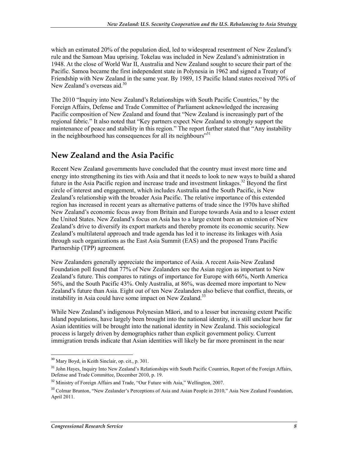which an estimated 20% of the population died, led to widespread resentment of New Zealand's rule and the Samoan Mau uprising. Tokelau was included in New Zealand's administration in 1948. At the close of World War II, Australia and New Zealand sought to secure their part of the Pacific. Samoa became the first independent state in Polynesia in 1962 and signed a Treaty of Friendship with New Zealand in the same year. By 1989, 15 Pacific Island states received 70% of New Zealand's overseas aid  $30<sup>30</sup>$ 

The 2010 "Inquiry into New Zealand's Relationships with South Pacific Countries," by the Foreign Affairs, Defense and Trade Committee of Parliament acknowledged the increasing Pacific composition of New Zealand and found that "New Zealand is increasingly part of the regional fabric." It also noted that "Key partners expect New Zealand to strongly support the maintenance of peace and stability in this region." The report further stated that "Any instability in the neighbourhood has consequences for all its neighbours"<sup>31</sup>

#### **New Zealand and the Asia Pacific**

Recent New Zealand governments have concluded that the country must invest more time and energy into strengthening its ties with Asia and that it needs to look to new ways to build a shared future in the Asia Pacific region and increase trade and investment linkages.<sup>32</sup> Beyond the first circle of interest and engagement, which includes Australia and the South Pacific, is New Zealand's relationship with the broader Asia Pacific. The relative importance of this extended region has increased in recent years as alternative patterns of trade since the 1970s have shifted New Zealand's economic focus away from Britain and Europe towards Asia and to a lesser extent the United States. New Zealand's focus on Asia has to a large extent been an extension of New Zealand's drive to diversify its export markets and thereby promote its economic security. New Zealand's multilateral approach and trade agenda has led it to increase its linkages with Asia through such organizations as the East Asia Summit (EAS) and the proposed Trans Pacific Partnership (TPP) agreement.

New Zealanders generally appreciate the importance of Asia. A recent Asia-New Zealand Foundation poll found that 77% of New Zealanders see the Asian region as important to New Zealand's future. This compares to ratings of importance for Europe with 66%, North America 56%, and the South Pacific 43%. Only Australia, at 86%, was deemed more important to New Zealand's future than Asia. Eight out of ten New Zealanders also believe that conflict, threats, or instability in Asia could have some impact on New Zealand.<sup>33</sup>

While New Zealand's indigenous Polynesian Māori, and to a lesser but increasing extent Pacific Island populations, have largely been brought into the national identity, it is still unclear how far Asian identities will be brought into the national identity in New Zealand. This sociological process is largely driven by demographics rather than explicit government policy. Current immigration trends indicate that Asian identities will likely be far more prominent in the near

<u>.</u>

<sup>&</sup>lt;sup>30</sup> Mary Boyd, in Keith Sinclair, op. cit., p. 301.

<sup>&</sup>lt;sup>31</sup> John Hayes, Inquiry Into New Zealand's Relationships with South Pacific Countries, Report of the Foreign Affairs, Defense and Trade Committee, December 2010, p. 19.

<sup>&</sup>lt;sup>32</sup> Ministry of Foreign Affairs and Trade. "Our Future with Asia." Wellington, 2007.

<sup>&</sup>lt;sup>33</sup> Colmar Brunton, "New Zealander's Perceptions of Asia and Asian People in 2010," Asia New Zealand Foundation, April 2011.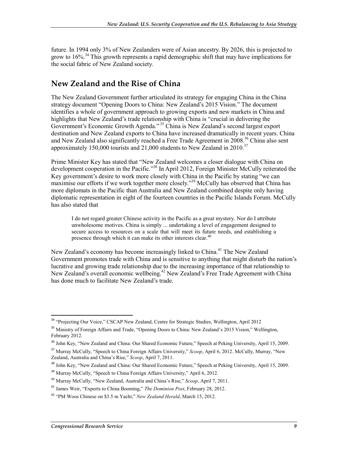future. In 1994 only 3% of New Zealanders were of Asian ancestry. By 2026, this is projected to grow to 16%.34 This growth represents a rapid demographic shift that may have implications for the social fabric of New Zealand society.

#### **New Zealand and the Rise of China**

The New Zealand Government further articulated its strategy for engaging China in the China strategy document "Opening Doors to China: New Zealand's 2015 Vision." The document identifies a whole of government approach to growing exports and new markets in China and highlights that New Zealand's trade relationship with China is "crucial in delivering the Government's Economic Growth Agenda." 35 China is New Zealand's second largest export destination and New Zealand exports to China have increased dramatically in recent years. China and New Zealand also significantly reached a Free Trade Agreement in 2008.<sup>36</sup> China also sent approximately 150,000 tourists and 21,000 students to New Zealand in 2010.<sup>37</sup>

Prime Minister Key has stated that "New Zealand welcomes a closer dialogue with China on development cooperation in the Pacific."<sup>38</sup> In April 2012, Foreign Minister McCully reiterated the Key government's desire to work more closely with China in the Pacific by stating "we can maximise our efforts if we work together more closely."<sup>39</sup> McCully has observed that China has more diplomats in the Pacific than Australia and New Zealand combined despite only having diplomatic representation in eight of the fourteen countries in the Pacific Islands Forum. McCully has also stated that

I do not regard greater Chinese activity in the Pacific as a great mystery. Nor do I attribute unwholesome motives. China is simply ... undertaking a level of engagement designed to secure access to resources on a scale that will meet its future needs, and establishing a presence through which it can make its other interests clear.<sup>40</sup>

New Zealand's economy has become increasingly linked to China.<sup>41</sup> The New Zealand Government promotes trade with China and is sensitive to anything that might disturb the nation's lucrative and growing trade relationship due to the increasing importance of that relationship to New Zealand's overall economic wellbeing.<sup>42</sup> New Zealand's Free Trade Agreement with China has done much to facilitate New Zealand's trade.

<sup>&</sup>lt;sup>34</sup> "Projecting Our Voice," CSCAP New Zealand, Centre for Strategic Studies, Wellington, April 2012

<sup>&</sup>lt;sup>35</sup> Ministry of Foreign Affairs and Trade, "Opening Doors to China: New Zealand's 2015 Vision," Wellington, February 2012.

<sup>&</sup>lt;sup>36</sup> John Key, "New Zealand and China: Our Shared Economic Future," Speech at Peking University, April 15, 2009.

<sup>37</sup> Murray McCully, "Speech to China Foreign Affairs University," *Scoop*, April 6, 2012. McCully, Murray, "New Zealand, Australia and China's Rise," *Scoop*, April 7, 2011.

<sup>&</sup>lt;sup>38</sup> John Key, "New Zealand and China: Our Shared Economic Future," Speech at Peking University, April 15, 2009.

<sup>&</sup>lt;sup>39</sup> Murray McCully, "Speech to China Foreign Affairs University," April 6, 2012.

<sup>40</sup> Murray McCully, "New Zealand, Australia and China's Rise," *Scoop*, April 7, 2011.

<sup>41</sup> James Weir, "Exports to China Booming," *The Dominion Post*, February 28, 2012.

<sup>42</sup> "PM Woos Chinese on \$3.5 m Yacht," *New Zealand Herald*, March 15, 2012.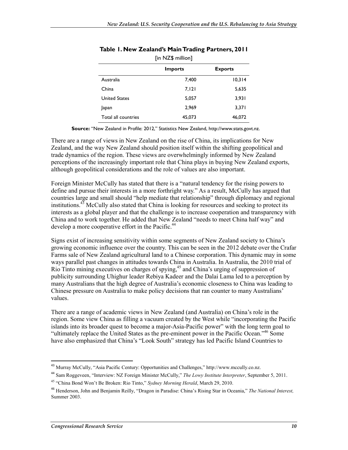| $\left  \right $ in ty $\angle \varphi$ theory |                |                |  |  |
|------------------------------------------------|----------------|----------------|--|--|
|                                                | <b>Imports</b> | <b>Exports</b> |  |  |
| Australia                                      | 7,400          | 10,314         |  |  |
| China                                          | 7,121          | 5,635          |  |  |
| <b>United States</b>                           | 5,057          | 3,931          |  |  |
| Japan                                          | 2,969          | 3,371          |  |  |
| Total all countries                            | 45,073         | 46,072         |  |  |

#### **Table 1. New Zealand's Main Trading Partners, 2011**   $\mathbf{E}$ in N $\mathbf{Z}$  $\mathbf{E}$  million]

**Source:** "New Zealand in Profile: 2012," Statistics New Zealand, http://www.stats.govt.nz.

There are a range of views in New Zealand on the rise of China, its implications for New Zealand, and the way New Zealand should position itself within the shifting geopolitical and trade dynamics of the region. These views are overwhelmingly informed by New Zealand perceptions of the increasingly important role that China plays in buying New Zealand exports, although geopolitical considerations and the role of values are also important.

Foreign Minister McCully has stated that there is a "natural tendency for the rising powers to define and pursue their interests in a more forthright way." As a result, McCully has argued that countries large and small should "help mediate that relationship" through diplomacy and regional institutions.<sup>43</sup> McCully also stated that China is looking for resources and seeking to protect its interests as a global player and that the challenge is to increase cooperation and transparency with China and to work together. He added that New Zealand "needs to meet China half way" and develop a more cooperative effort in the Pacific.<sup>44</sup>

Signs exist of increasing sensitivity within some segments of New Zealand society to China's growing economic influence over the country. This can be seen in the 2012 debate over the Crafar Farms sale of New Zealand agricultural land to a Chinese corporation. This dynamic may in some ways parallel past changes in attitudes towards China in Australia. In Australia, the 2010 trial of Rio Tinto mining executives on charges of spying,<sup>45</sup> and China's urging of suppression of publicity surrounding Uhighur leader Rebiya Kadeer and the Dalai Lama led to a perception by many Australians that the high degree of Australia's economic closeness to China was leading to Chinese pressure on Australia to make policy decisions that ran counter to many Australians' values.

There are a range of academic views in New Zealand (and Australia) on China's role in the region. Some view China as filling a vacuum created by the West while "incorporating the Pacific islands into its broader quest to become a major-Asia-Pacific power" with the long term goal to "ultimately replace the United States as the pre-eminent power in the Pacific Ocean."46 Some have also emphasized that China's "Look South" strategy has led Pacific Island Countries to

<sup>&</sup>lt;sup>43</sup> Murray McCully, "Asia Pacific Century: Opportunities and Challenges," http://www.mccully.co.nz.

<sup>44</sup> Sam Roggeveen, "Interview: NZ Foreign Minister McCully," *The Lowy Institute Interpreter*, September 5, 2011.

<sup>45 &</sup>quot;China Bond Won't Be Broken: Rio Tinto," *Sydney Morning Herald*, March 29, 2010.

<sup>46</sup> Henderson, John and Benjamin Reilly, "Dragon in Paradise: China's Rising Star in Oceania," *The National Interest,* Summer 2003.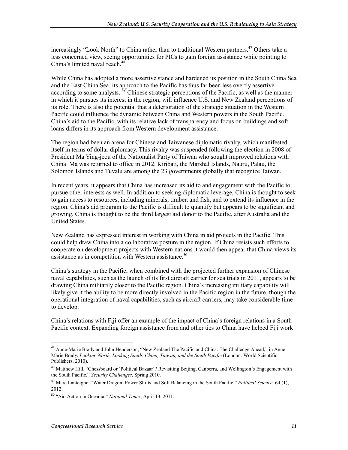increasingly "Look North" to China rather than to traditional Western partners.<sup>47</sup> Others take a less concerned view, seeing opportunities for PICs to gain foreign assistance while pointing to China's limited naval reach. $4<sup>4</sup>$ 

While China has adopted a more assertive stance and hardened its position in the South China Sea and the East China Sea, its approach to the Pacific has thus far been less overtly assertive according to some analysts. <sup>49</sup> Chinese strategic perceptions of the Pacific, as well as the manner in which it pursues its interest in the region, will influence U.S. and New Zealand perceptions of its role. There is also the potential that a deterioration of the strategic situation in the Western Pacific could influence the dynamic between China and Western powers in the South Pacific. China's aid to the Pacific, with its relative lack of transparency and focus on buildings and soft loans differs in its approach from Western development assistance.

The region had been an arena for Chinese and Taiwanese diplomatic rivalry, which manifested itself in terms of dollar diplomacy. This rivalry was suspended following the election in 2008 of President Ma Ying-jeou of the Nationalist Party of Taiwan who sought improved relations with China. Ma was returned to office in 2012. Kiribati, the Marshal Islands, Nauru, Palau, the Solomon Islands and Tuvalu are among the 23 governments globally that recognize Taiwan.

In recent years, it appears that China has increased its aid to and engagement with the Pacific to pursue other interests as well. In addition to seeking diplomatic leverage, China is thought to seek to gain access to resources, including minerals, timber, and fish, and to extend its influence in the region. China's aid program to the Pacific is difficult to quantify but appears to be significant and growing. China is thought to be the third largest aid donor to the Pacific, after Australia and the United States.

New Zealand has expressed interest in working with China in aid projects in the Pacific. This could help draw China into a collaborative posture in the region. If China resists such efforts to cooperate on development projects with Western nations it would then appear that China views its assistance as in competition with Western assistance.<sup>50</sup>

China's strategy in the Pacific, when combined with the projected further expansion of Chinese naval capabilities, such as the launch of its first aircraft carrier for sea trials in 2011, appears to be drawing China militarily closer to the Pacific region. China's increasing military capability will likely give it the ability to be more directly involved in the Pacific region in the future, though the operational integration of naval capabilities, such as aircraft carriers, may take considerable time to develop.

China's relations with Fiji offer an example of the impact of China's foreign relations in a South Pacific context. Expanding foreign assistance from and other ties to China have helped Fiji work

<u>.</u>

<sup>&</sup>lt;sup>47</sup> Anne-Marie Brady and John Henderson, "New Zealand The Pacific and China: The Challenge Ahead," in Anne Marie Brady, *Looking North, Looking South: China, Taiwan, and the South Pacific* (London: World Scientific Publishers, 2010).

<sup>&</sup>lt;sup>48</sup> Matthew Hill, "Chessboard or 'Political Bazaar'? Revisiting Beijing, Canberra, and Wellington's Engagement with the South Pacific," *Security Challenges*, Spring 2010.

<sup>49</sup> Marc Lanteigne, "Water Dragon: Power Shifts and Soft Balancing in the South Pacific," *Political Science,* 64 (1), 2012.

<sup>50</sup> "Aid Action in Oceania," *National Times*, April 13, 2011.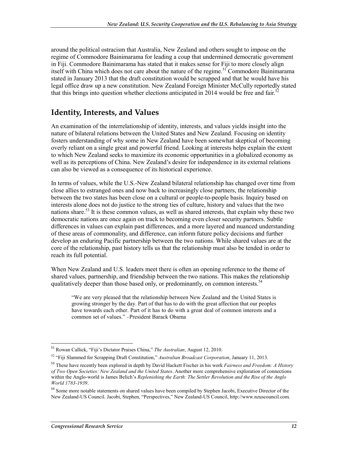around the political ostracism that Australia, New Zealand and others sought to impose on the regime of Commodore Bainimarama for leading a coup that undermined democratic government in Fiji. Commodore Bainimarama has stated that it makes sense for Fiji to more closely align itself with China which does not care about the nature of the regime.<sup>51</sup> Commodore Bainimarama stated in January 2013 that the draft constitution would be scrapped and that he would have his legal office draw up a new constitution. New Zealand Foreign Minister McCully reportedly stated that this brings into question whether elections anticipated in 2014 would be free and fair.<sup>52</sup>

#### **Identity, Interests, and Values**

An examination of the interrelationship of identity, interests, and values yields insight into the nature of bilateral relations between the United States and New Zealand. Focusing on identity fosters understanding of why some in New Zealand have been somewhat skeptical of becoming overly reliant on a single great and powerful friend. Looking at interests helps explain the extent to which New Zealand seeks to maximize its economic opportunities in a globalized economy as well as its perceptions of China. New Zealand's desire for independence in its external relations can also be viewed as a consequence of its historical experience.

In terms of values, while the U.S.-New Zealand bilateral relationship has changed over time from close allies to estranged ones and now back to increasingly close partners, the relationship between the two states has been close on a cultural or people-to-people basis. Inquiry based on interests alone does not do justice to the strong ties of culture, history and values that the two nations share.<sup>53</sup> It is these common values, as well as shared interests, that explain why these two democratic nations are once again on track to becoming even closer security partners. Subtle differences in values can explain past differences, and a more layered and nuanced understanding of these areas of commonality, and difference, can inform future policy decisions and further develop an enduring Pacific partnership between the two nations. While shared values are at the core of the relationship, past history tells us that the relationship must also be tended in order to reach its full potential.

When New Zealand and U.S. leaders meet there is often an opening reference to the theme of shared values, partnership, and friendship between the two nations. This makes the relationship qualitatively deeper than those based only, or predominantly, on common interests.<sup>54</sup>

"We are very pleased that the relationship between New Zealand and the United States is growing stronger by the day. Part of that has to do with the great affection that our peoples have towards each other. Part of it has to do with a great deal of common interests and a common set of values." –President Barack Obama

<sup>51</sup> Rowan Callick, "Fiji's Dictator Praises China," *The Australian*, August 12, 2010.

<sup>52 &</sup>quot;Fiji Slammed for Scrapping Draft Constitution," *Australian Broadcast Corporation*, January 11, 2013.

<sup>53</sup> These have recently been explored in depth by David Hackett Fischer in his work *Fairness and Freedom: A History of Two Open Societies: New Zealand and the United States*. Another more comprehensive exploration of connections within the Anglo-world is James Belich's *Replenishing the Earth: The Settler Revolution and the Rise of the Anglo World 1783-1939*.

<sup>&</sup>lt;sup>54</sup> Some more notable statements on shared values have been compiled by Stephen Jacobi, Executive Director of the New Zealand-US Council. Jacobi, Stephen, "Perspectives," New Zealand-US Council, http://www.nzuscouncil.com.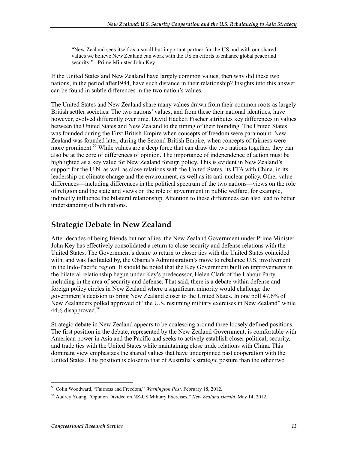"New Zealand sees itself as a small but important partner for the US and with our shared values we believe New Zealand can work with the US on efforts to enhance global peace and security." –Prime Minister John Key

If the United States and New Zealand have largely common values, then why did these two nations, in the period after1984, have such distance in their relationship? Insights into this answer can be found in subtle differences in the two nation's values.

The United States and New Zealand share many values drawn from their common roots as largely British settler societies. The two nations' values, and from these their national identities, have however, evolved differently over time. David Hackett Fischer attributes key differences in values between the United States and New Zealand to the timing of their founding. The United States was founded during the First British Empire when concepts of freedom were paramount. New Zealand was founded later, during the Second British Empire, when concepts of fairness were more prominent.<sup>55</sup> While values are a deep force that can draw the two nations together, they can also be at the core of differences of opinion. The importance of independence of action must be highlighted as a key value for New Zealand foreign policy. This is evident in New Zealand's support for the U.N. as well as close relations with the United States, its FTA with China, in its leadership on climate change and the environment, as well as its anti-nuclear policy. Other value differences—including differences in the political spectrum of the two nations—views on the role of religion and the state and views on the role of government in public welfare, for example, indirectly influence the bilateral relationship. Attention to these differences can also lead to better understanding of both nations.

#### **Strategic Debate in New Zealand**

After decades of being friends but not allies, the New Zealand Government under Prime Minister John Key has effectively consolidated a return to close security and defense relations with the United States. The Government's desire to return to closer ties with the United States coincided with, and was facilitated by, the Obama's Administration's move to rebalance U.S. involvement in the Indo-Pacific region. It should be noted that the Key Government built on improvements in the bilateral relationship begun under Key's predecessor, Helen Clark of the Labour Party, including in the area of security and defense. That said, there is a debate within defense and foreign policy circles in New Zealand where a significant minority would challenge the government's decision to bring New Zealand closer to the United States. In one poll 47.6% of New Zealanders polled approved of "the U.S. resuming military exercises in New Zealand" while 44% disapproved.<sup>56</sup>

Strategic debate in New Zealand appears to be coalescing around three loosely defined positions. The first position in the debate, represented by the New Zealand Government, is comfortable with American power in Asia and the Pacific and seeks to actively establish closer political, security, and trade ties with the United States while maintaining close trade relations with China. This dominant view emphasizes the shared values that have underpinned past cooperation with the United States. This position is closer to that of Australia's strategic posture than the other two

<sup>55</sup> Colin Woodward, "Fairness and Freedom," *Washington Post,* February 18, 2012.

<sup>56</sup> Audrey Young, "Opinion Divided on NZ-US Military Exercises," *New Zealand Herald*, May 14, 2012.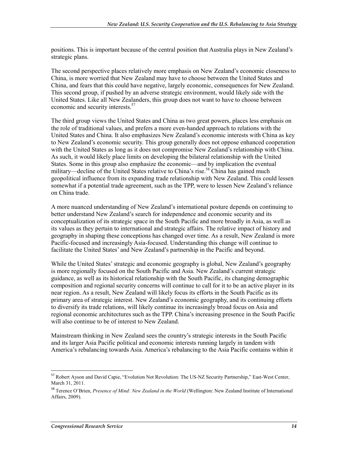positions. This is important because of the central position that Australia plays in New Zealand's strategic plans.

The second perspective places relatively more emphasis on New Zealand's economic closeness to China, is more worried that New Zealand may have to choose between the United States and China, and fears that this could have negative, largely economic, consequences for New Zealand. This second group, if pushed by an adverse strategic environment, would likely side with the United States. Like all New Zealanders, this group does not want to have to choose between economic and security interests.<sup>57</sup>

The third group views the United States and China as two great powers, places less emphasis on the role of traditional values, and prefers a more even-handed approach to relations with the United States and China. It also emphasizes New Zealand's economic interests with China as key to New Zealand's economic security. This group generally does not oppose enhanced cooperation with the United States as long as it does not compromise New Zealand's relationship with China. As such, it would likely place limits on developing the bilateral relationship with the United States. Some in this group also emphasize the economic—and by implication the eventual military—decline of the United States relative to China's rise.<sup>58</sup> China has gained much geopolitical influence from its expanding trade relationship with New Zealand. This could lessen somewhat if a potential trade agreement, such as the TPP, were to lessen New Zealand's reliance on China trade.

A more nuanced understanding of New Zealand's international posture depends on continuing to better understand New Zealand's search for independence and economic security and its conceptualization of its strategic space in the South Pacific and more broadly in Asia, as well as its values as they pertain to international and strategic affairs. The relative impact of history and geography in shaping these conceptions has changed over time. As a result, New Zealand is more Pacific-focused and increasingly Asia-focused. Understanding this change will continue to facilitate the United States' and New Zealand's partnership in the Pacific and beyond.

While the United States' strategic and economic geography is global, New Zealand's geography is more regionally focused on the South Pacific and Asia. New Zealand's current strategic guidance, as well as its historical relationship with the South Pacific, its changing demographic composition and regional security concerns will continue to call for it to be an active player in its near region. As a result, New Zealand will likely focus its efforts in the South Pacific as its primary area of strategic interest. New Zealand's economic geography, and its continuing efforts to diversify its trade relations, will likely continue its increasingly broad focus on Asia and regional economic architectures such as the TPP. China's increasing presence in the South Pacific will also continue to be of interest to New Zealand.

Mainstream thinking in New Zealand sees the country's strategic interests in the South Pacific and its larger Asia Pacific political and economic interests running largely in tandem with America's rebalancing towards Asia. America's rebalancing to the Asia Pacific contains within it

<sup>&</sup>lt;sup>57</sup> Robert Ayson and David Capie, "Evolution Not Revolution: The US-NZ Security Partnership," East-West Center, March 31, 2011.

<sup>58</sup> Terence O'Brien, *Presence of Mind: New Zealand in the World* (Wellington: New Zealand Institute of International Affairs, 2009).